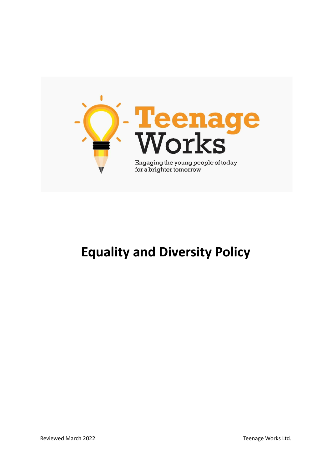

# **Equality and Diversity Policy**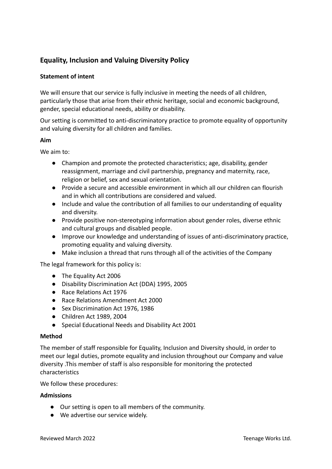## **Equality, Inclusion and Valuing Diversity Policy**

## **Statement of intent**

We will ensure that our service is fully inclusive in meeting the needs of all children, particularly those that arise from their ethnic heritage, social and economic background, gender, special educational needs, ability or disability.

Our setting is committed to anti-discriminatory practice to promote equality of opportunity and valuing diversity for all children and families.

### **Aim**

We aim to:

- Champion and promote the protected characteristics; age, disability, gender reassignment, marriage and civil partnership, pregnancy and maternity, race, religion or belief, sex and sexual orientation.
- Provide a secure and accessible environment in which all our children can flourish and in which all contributions are considered and valued.
- Include and value the contribution of all families to our understanding of equality and diversity.
- Provide positive non-stereotyping information about gender roles, diverse ethnic and cultural groups and disabled people.
- Improve our knowledge and understanding of issues of anti-discriminatory practice, promoting equality and valuing diversity.
- Make inclusion a thread that runs through all of the activities of the Company

The legal framework for this policy is:

- The Equality Act 2006
- Disability Discrimination Act (DDA) 1995, 2005
- Race Relations Act 1976
- Race Relations Amendment Act 2000
- Sex Discrimination Act 1976, 1986
- Children Act 1989, 2004
- Special Educational Needs and Disability Act 2001

### **Method**

The member of staff responsible for Equality, Inclusion and Diversity should, in order to meet our legal duties, promote equality and inclusion throughout our Company and value diversity .This member of staff is also responsible for monitoring the protected characteristics

We follow these procedures:

### **Admissions**

- Our setting is open to all members of the community.
- We advertise our service widely.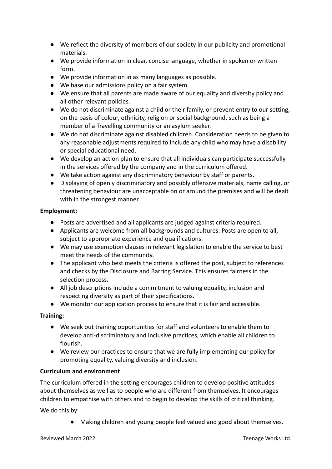- We reflect the diversity of members of our society in our publicity and promotional materials.
- We provide information in clear, concise language, whether in spoken or written form.
- We provide information in as many languages as possible.
- We base our admissions policy on a fair system.
- We ensure that all parents are made aware of our equality and diversity policy and all other relevant policies.
- We do not discriminate against a child or their family, or prevent entry to our setting, on the basis of colour, ethnicity, religion or social background, such as being a member of a Travelling community or an asylum seeker.
- We do not discriminate against disabled children. Consideration needs to be given to any reasonable adjustments required to include any child who may have a disability or special educational need.
- We develop an action plan to ensure that all individuals can participate successfully in the services offered by the company and in the curriculum offered.
- We take action against any discriminatory behaviour by staff or parents.
- **●** Displaying of openly discriminatory and possibly offensive materials, name calling, or threatening behaviour are unacceptable on or around the premises and will be dealt with in the strongest manner.

## **Employment:**

- Posts are advertised and all applicants are judged against criteria required.
- Applicants are welcome from all backgrounds and cultures. Posts are open to all, subject to appropriate experience and qualifications.
- We may use exemption clauses in relevant legislation to enable the service to best meet the needs of the community.
- The applicant who best meets the criteria is offered the post, subject to references and checks by the Disclosure and Barring Service. This ensures fairness in the selection process.
- All job descriptions include a commitment to valuing equality, inclusion and respecting diversity as part of their specifications.
- We monitor our application process to ensure that it is fair and accessible.

## **Training:**

- We seek out training opportunities for staff and volunteers to enable them to develop anti-discriminatory and inclusive practices, which enable all children to flourish.
- We review our practices to ensure that we are fully implementing our policy for promoting equality, valuing diversity and inclusion.

## **Curriculum and environment**

The curriculum offered in the setting encourages children to develop positive attitudes about themselves as well as to people who are different from themselves. It encourages children to empathise with others and to begin to develop the skills of critical thinking.

We do this by:

● Making children and young people feel valued and good about themselves.